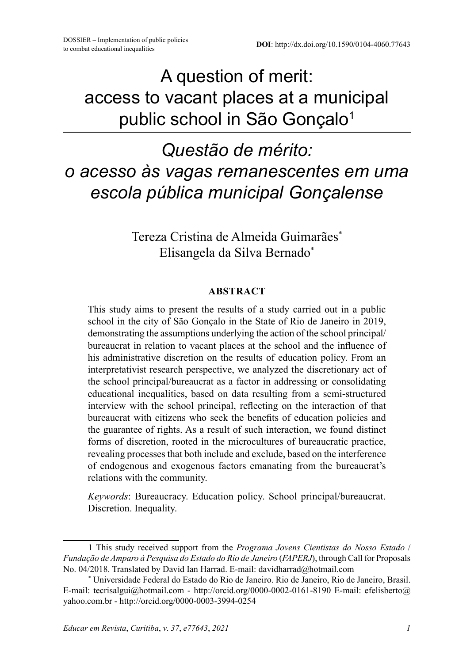A question of merit: access to vacant places at a municipal public school in São Gonçalo<sup>1</sup>

# *Questão de mérito: o acesso às vagas remanescentes em uma escola pública municipal Gonçalense*

Tereza Cristina de Almeida Guimarães\* Elisangela da Silva Bernado\*

#### **ABSTRACT**

This study aims to present the results of a study carried out in a public school in the city of São Gonçalo in the State of Rio de Janeiro in 2019, demonstrating the assumptions underlying the action of the school principal/ bureaucrat in relation to vacant places at the school and the influence of his administrative discretion on the results of education policy. From an interpretativist research perspective, we analyzed the discretionary act of the school principal/bureaucrat as a factor in addressing or consolidating educational inequalities, based on data resulting from a semi-structured interview with the school principal, reflecting on the interaction of that bureaucrat with citizens who seek the benefits of education policies and the guarantee of rights. As a result of such interaction, we found distinct forms of discretion, rooted in the microcultures of bureaucratic practice, revealing processes that both include and exclude, based on the interference of endogenous and exogenous factors emanating from the bureaucrat's relations with the community.

*Keywords*: Bureaucracy. Education policy. School principal/bureaucrat. Discretion. Inequality.

<sup>1</sup> This study received support from the *Programa Jovens Cientistas do Nosso Estado* / *Fundação de Amparo à Pesquisa do Estado do Rio de Janeiro* (*FAPERJ*), through Call for Proposals No. 04/2018. Translated by David Ian Harrad. E-mail: davidharrad@hotmail.com

<sup>\*</sup> Universidade Federal do Estado do Rio de Janeiro. Rio de Janeiro, Rio de Janeiro, Brasil. E-mail: tecrisalgui@hotmail.com - http://orcid.org/0000-0002-0161-8190 E-mail: efelisberto@ yahoo.com.br - http://orcid.org/0000-0003-3994-0254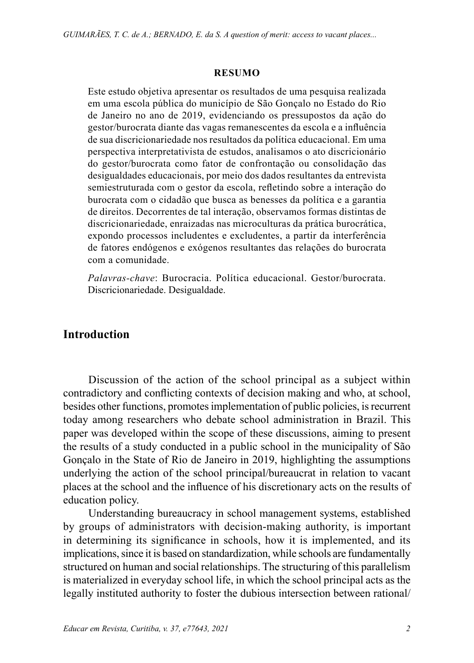#### **RESUMO**

Este estudo objetiva apresentar os resultados de uma pesquisa realizada em uma escola pública do município de São Gonçalo no Estado do Rio de Janeiro no ano de 2019, evidenciando os pressupostos da ação do gestor/burocrata diante das vagas remanescentes da escola e a influência de sua discricionariedade nos resultados da política educacional. Em uma perspectiva interpretativista de estudos, analisamos o ato discricionário do gestor/burocrata como fator de confrontação ou consolidação das desigualdades educacionais, por meio dos dados resultantes da entrevista semiestruturada com o gestor da escola, refletindo sobre a interação do burocrata com o cidadão que busca as benesses da política e a garantia de direitos. Decorrentes de tal interação, observamos formas distintas de discricionariedade, enraizadas nas microculturas da prática burocrática, expondo processos includentes e excludentes, a partir da interferência de fatores endógenos e exógenos resultantes das relações do burocrata com a comunidade.

*Palavras-chave*: Burocracia. Política educacional. Gestor/burocrata. Discricionariedade. Desigualdade.

## **Introduction**

Discussion of the action of the school principal as a subject within contradictory and conflicting contexts of decision making and who, at school, besides other functions, promotes implementation of public policies, is recurrent today among researchers who debate school administration in Brazil. This paper was developed within the scope of these discussions, aiming to present the results of a study conducted in a public school in the municipality of São Gonçalo in the State of Rio de Janeiro in 2019, highlighting the assumptions underlying the action of the school principal/bureaucrat in relation to vacant places at the school and the influence of his discretionary acts on the results of education policy.

Understanding bureaucracy in school management systems, established by groups of administrators with decision-making authority, is important in determining its significance in schools, how it is implemented, and its implications, since it is based on standardization, while schools are fundamentally structured on human and social relationships. The structuring of this parallelism is materialized in everyday school life, in which the school principal acts as the legally instituted authority to foster the dubious intersection between rational/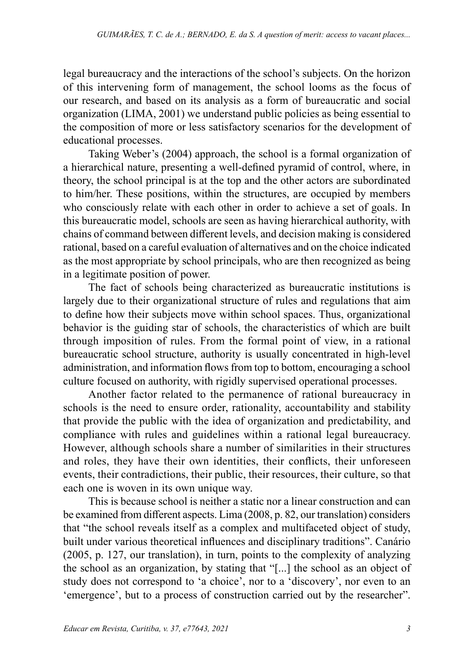legal bureaucracy and the interactions of the school's subjects. On the horizon of this intervening form of management, the school looms as the focus of our research, and based on its analysis as a form of bureaucratic and social organization (LIMA, 2001) we understand public policies as being essential to the composition of more or less satisfactory scenarios for the development of educational processes.

Taking Weber's (2004) approach, the school is a formal organization of a hierarchical nature, presenting a well-defined pyramid of control, where, in theory, the school principal is at the top and the other actors are subordinated to him/her. These positions, within the structures, are occupied by members who consciously relate with each other in order to achieve a set of goals. In this bureaucratic model, schools are seen as having hierarchical authority, with chains of command between different levels, and decision making is considered rational, based on a careful evaluation of alternatives and on the choice indicated as the most appropriate by school principals, who are then recognized as being in a legitimate position of power.

The fact of schools being characterized as bureaucratic institutions is largely due to their organizational structure of rules and regulations that aim to define how their subjects move within school spaces. Thus, organizational behavior is the guiding star of schools, the characteristics of which are built through imposition of rules. From the formal point of view, in a rational bureaucratic school structure, authority is usually concentrated in high-level administration, and information flows from top to bottom, encouraging a school culture focused on authority, with rigidly supervised operational processes.

Another factor related to the permanence of rational bureaucracy in schools is the need to ensure order, rationality, accountability and stability that provide the public with the idea of organization and predictability, and compliance with rules and guidelines within a rational legal bureaucracy. However, although schools share a number of similarities in their structures and roles, they have their own identities, their conflicts, their unforeseen events, their contradictions, their public, their resources, their culture, so that each one is woven in its own unique way.

This is because school is neither a static nor a linear construction and can be examined from different aspects. Lima (2008, p. 82, our translation) considers that "the school reveals itself as a complex and multifaceted object of study, built under various theoretical influences and disciplinary traditions". Canário (2005, p. 127, our translation), in turn, points to the complexity of analyzing the school as an organization, by stating that "[...] the school as an object of study does not correspond to 'a choice', nor to a 'discovery', nor even to an 'emergence', but to a process of construction carried out by the researcher".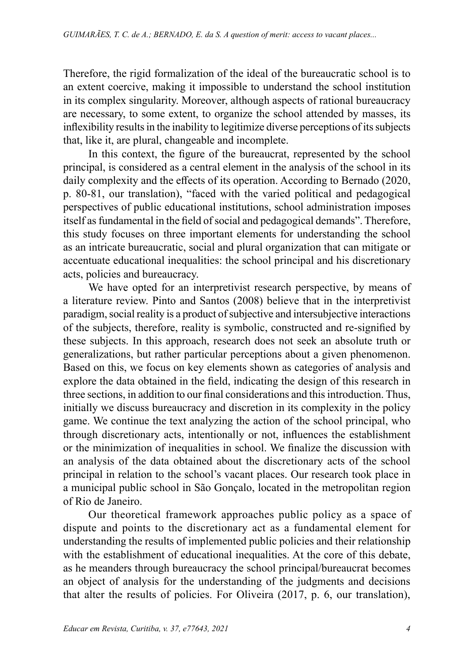Therefore, the rigid formalization of the ideal of the bureaucratic school is to an extent coercive, making it impossible to understand the school institution in its complex singularity. Moreover, although aspects of rational bureaucracy are necessary, to some extent, to organize the school attended by masses, its inflexibility results in the inability to legitimize diverse perceptions of its subjects that, like it, are plural, changeable and incomplete.

In this context, the figure of the bureaucrat, represented by the school principal, is considered as a central element in the analysis of the school in its daily complexity and the effects of its operation. According to Bernado (2020, p. 80-81, our translation), "faced with the varied political and pedagogical perspectives of public educational institutions, school administration imposes itself as fundamental in the field of social and pedagogical demands". Therefore, this study focuses on three important elements for understanding the school as an intricate bureaucratic, social and plural organization that can mitigate or accentuate educational inequalities: the school principal and his discretionary acts, policies and bureaucracy.

We have opted for an interpretivist research perspective, by means of a literature review. Pinto and Santos (2008) believe that in the interpretivist paradigm, social reality is a product of subjective and intersubjective interactions of the subjects, therefore, reality is symbolic, constructed and re-signified by these subjects. In this approach, research does not seek an absolute truth or generalizations, but rather particular perceptions about a given phenomenon. Based on this, we focus on key elements shown as categories of analysis and explore the data obtained in the field, indicating the design of this research in three sections, in addition to our final considerations and this introduction. Thus, initially we discuss bureaucracy and discretion in its complexity in the policy game. We continue the text analyzing the action of the school principal, who through discretionary acts, intentionally or not, influences the establishment or the minimization of inequalities in school. We finalize the discussion with an analysis of the data obtained about the discretionary acts of the school principal in relation to the school's vacant places. Our research took place in a municipal public school in São Gonçalo, located in the metropolitan region of Rio de Janeiro.

Our theoretical framework approaches public policy as a space of dispute and points to the discretionary act as a fundamental element for understanding the results of implemented public policies and their relationship with the establishment of educational inequalities. At the core of this debate, as he meanders through bureaucracy the school principal/bureaucrat becomes an object of analysis for the understanding of the judgments and decisions that alter the results of policies. For Oliveira (2017, p. 6, our translation),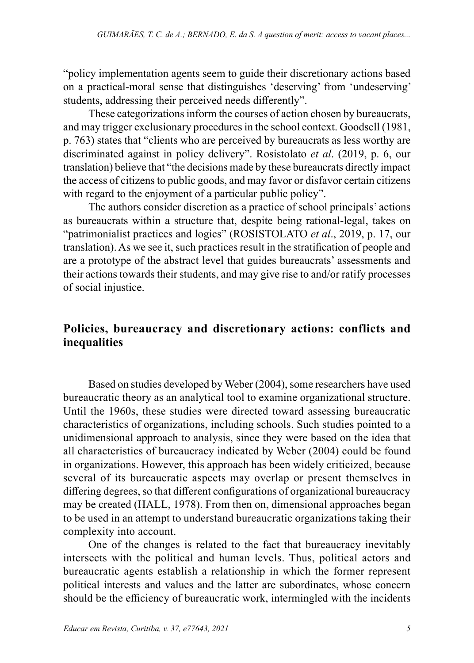"policy implementation agents seem to guide their discretionary actions based on a practical-moral sense that distinguishes 'deserving' from 'undeserving' students, addressing their perceived needs differently".

These categorizations inform the courses of action chosen by bureaucrats, and may trigger exclusionary procedures in the school context. Goodsell (1981, p. 763) states that "clients who are perceived by bureaucrats as less worthy are discriminated against in policy delivery". Rosistolato *et al*. (2019, p. 6, our translation) believe that "the decisions made by these bureaucrats directly impact the access of citizens to public goods, and may favor or disfavor certain citizens with regard to the enjoyment of a particular public policy".

The authors consider discretion as a practice of school principals' actions as bureaucrats within a structure that, despite being rational-legal, takes on "patrimonialist practices and logics" (ROSISTOLATO *et al*., 2019, p. 17, our translation). As we see it, such practices result in the stratification of people and are a prototype of the abstract level that guides bureaucrats' assessments and their actions towards their students, and may give rise to and/or ratify processes of social injustice.

## **Policies, bureaucracy and discretionary actions: conflicts and inequalities**

Based on studies developed by Weber (2004), some researchers have used bureaucratic theory as an analytical tool to examine organizational structure. Until the 1960s, these studies were directed toward assessing bureaucratic characteristics of organizations, including schools. Such studies pointed to a unidimensional approach to analysis, since they were based on the idea that all characteristics of bureaucracy indicated by Weber (2004) could be found in organizations. However, this approach has been widely criticized, because several of its bureaucratic aspects may overlap or present themselves in differing degrees, so that different configurations of organizational bureaucracy may be created (HALL, 1978). From then on, dimensional approaches began to be used in an attempt to understand bureaucratic organizations taking their complexity into account.

One of the changes is related to the fact that bureaucracy inevitably intersects with the political and human levels. Thus, political actors and bureaucratic agents establish a relationship in which the former represent political interests and values and the latter are subordinates, whose concern should be the efficiency of bureaucratic work, intermingled with the incidents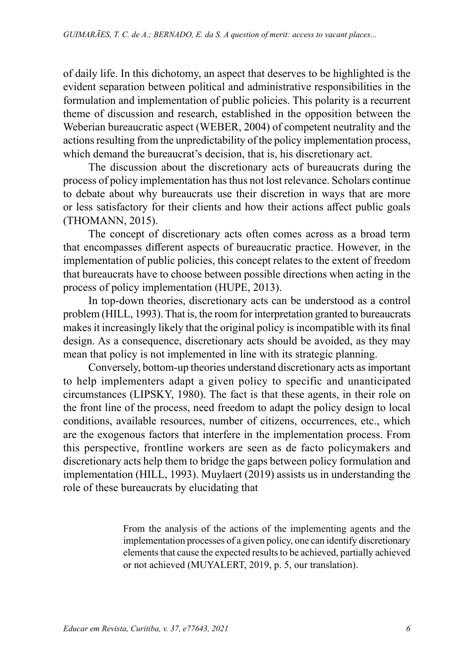of daily life. In this dichotomy, an aspect that deserves to be highlighted is the evident separation between political and administrative responsibilities in the formulation and implementation of public policies. This polarity is a recurrent theme of discussion and research, established in the opposition between the Weberian bureaucratic aspect (WEBER, 2004) of competent neutrality and the actions resulting from the unpredictability of the policy implementation process, which demand the bureaucrat's decision, that is, his discretionary act.

The discussion about the discretionary acts of bureaucrats during the process of policy implementation has thus not lost relevance. Scholars continue to debate about why bureaucrats use their discretion in ways that are more or less satisfactory for their clients and how their actions affect public goals (THOMANN, 2015).

The concept of discretionary acts often comes across as a broad term that encompasses different aspects of bureaucratic practice. However, in the implementation of public policies, this concept relates to the extent of freedom that bureaucrats have to choose between possible directions when acting in the process of policy implementation (HUPE, 2013).

In top-down theories, discretionary acts can be understood as a control problem (HILL, 1993). That is, the room for interpretation granted to bureaucrats makes it increasingly likely that the original policy is incompatible with its final design. As a consequence, discretionary acts should be avoided, as they may mean that policy is not implemented in line with its strategic planning.

Conversely, bottom-up theories understand discretionary acts as important to help implementers adapt a given policy to specific and unanticipated circumstances (LIPSKY, 1980). The fact is that these agents, in their role on the front line of the process, need freedom to adapt the policy design to local conditions, available resources, number of citizens, occurrences, etc., which are the exogenous factors that interfere in the implementation process. From this perspective, frontline workers are seen as de facto policymakers and discretionary acts help them to bridge the gaps between policy formulation and implementation (HILL, 1993). Muylaert (2019) assists us in understanding the role of these bureaucrats by elucidating that

> From the analysis of the actions of the implementing agents and the implementation processes of a given policy, one can identify discretionary elements that cause the expected results to be achieved, partially achieved or not achieved (MUYALERT, 2019, p. 5, our translation).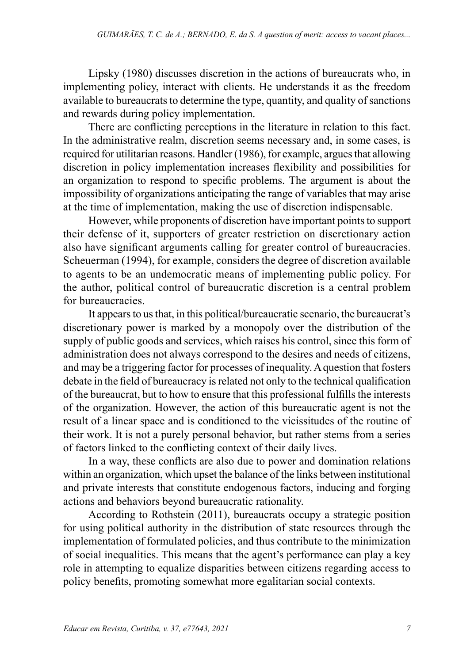Lipsky (1980) discusses discretion in the actions of bureaucrats who, in implementing policy, interact with clients. He understands it as the freedom available to bureaucrats to determine the type, quantity, and quality of sanctions and rewards during policy implementation.

There are conflicting perceptions in the literature in relation to this fact. In the administrative realm, discretion seems necessary and, in some cases, is required for utilitarian reasons. Handler (1986), for example, argues that allowing discretion in policy implementation increases flexibility and possibilities for an organization to respond to specific problems. The argument is about the impossibility of organizations anticipating the range of variables that may arise at the time of implementation, making the use of discretion indispensable.

However, while proponents of discretion have important points to support their defense of it, supporters of greater restriction on discretionary action also have significant arguments calling for greater control of bureaucracies. Scheuerman (1994), for example, considers the degree of discretion available to agents to be an undemocratic means of implementing public policy. For the author, political control of bureaucratic discretion is a central problem for bureaucracies.

It appears to us that, in this political/bureaucratic scenario, the bureaucrat's discretionary power is marked by a monopoly over the distribution of the supply of public goods and services, which raises his control, since this form of administration does not always correspond to the desires and needs of citizens, and may be a triggering factor for processes of inequality. A question that fosters debate in the field of bureaucracy is related not only to the technical qualification of the bureaucrat, but to how to ensure that this professional fulfills the interests of the organization. However, the action of this bureaucratic agent is not the result of a linear space and is conditioned to the vicissitudes of the routine of their work. It is not a purely personal behavior, but rather stems from a series of factors linked to the conflicting context of their daily lives.

In a way, these conflicts are also due to power and domination relations within an organization, which upset the balance of the links between institutional and private interests that constitute endogenous factors, inducing and forging actions and behaviors beyond bureaucratic rationality.

According to Rothstein (2011), bureaucrats occupy a strategic position for using political authority in the distribution of state resources through the implementation of formulated policies, and thus contribute to the minimization of social inequalities. This means that the agent's performance can play a key role in attempting to equalize disparities between citizens regarding access to policy benefits, promoting somewhat more egalitarian social contexts.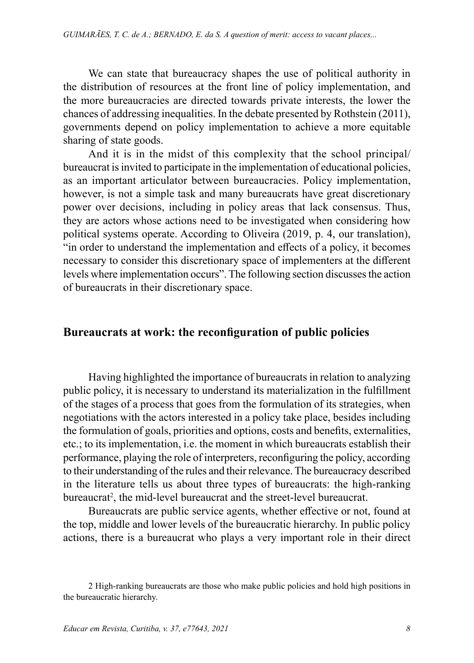We can state that bureaucracy shapes the use of political authority in the distribution of resources at the front line of policy implementation, and the more bureaucracies are directed towards private interests, the lower the chances of addressing inequalities. In the debate presented by Rothstein (2011), governments depend on policy implementation to achieve a more equitable sharing of state goods.

And it is in the midst of this complexity that the school principal/ bureaucrat is invited to participate in the implementation of educational policies, as an important articulator between bureaucracies. Policy implementation, however, is not a simple task and many bureaucrats have great discretionary power over decisions, including in policy areas that lack consensus. Thus, they are actors whose actions need to be investigated when considering how political systems operate. According to Oliveira (2019, p. 4, our translation), "in order to understand the implementation and effects of a policy, it becomes necessary to consider this discretionary space of implementers at the different levels where implementation occurs". The following section discusses the action of bureaucrats in their discretionary space.

#### **Bureaucrats at work: the reconfiguration of public policies**

Having highlighted the importance of bureaucrats in relation to analyzing public policy, it is necessary to understand its materialization in the fulfillment of the stages of a process that goes from the formulation of its strategies, when negotiations with the actors interested in a policy take place, besides including the formulation of goals, priorities and options, costs and benefits, externalities, etc.; to its implementation, i.e. the moment in which bureaucrats establish their performance, playing the role of interpreters, reconfiguring the policy, according to their understanding of the rules and their relevance. The bureaucracy described in the literature tells us about three types of bureaucrats: the high-ranking bureaucrat<sup>2</sup>, the mid-level bureaucrat and the street-level bureaucrat.

Bureaucrats are public service agents, whether effective or not, found at the top, middle and lower levels of the bureaucratic hierarchy. In public policy actions, there is a bureaucrat who plays a very important role in their direct

<sup>2</sup> High-ranking bureaucrats are those who make public policies and hold high positions in the bureaucratic hierarchy.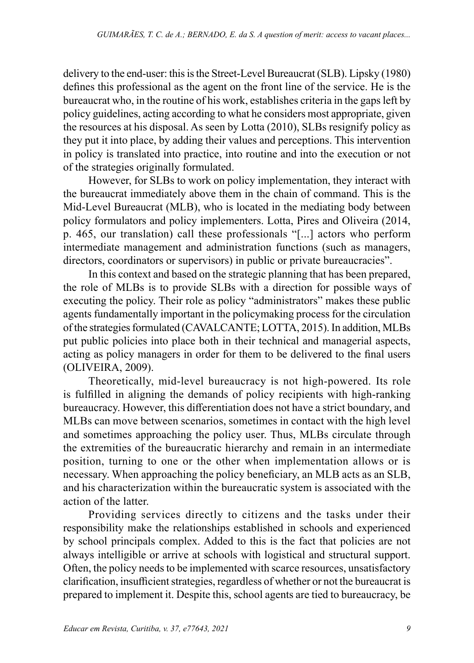delivery to the end-user: this is the Street-Level Bureaucrat (SLB). Lipsky (1980) defines this professional as the agent on the front line of the service. He is the bureaucrat who, in the routine of his work, establishes criteria in the gaps left by policy guidelines, acting according to what he considers most appropriate, given the resources at his disposal. As seen by Lotta (2010), SLBs resignify policy as they put it into place, by adding their values and perceptions. This intervention in policy is translated into practice, into routine and into the execution or not of the strategies originally formulated.

However, for SLBs to work on policy implementation, they interact with the bureaucrat immediately above them in the chain of command. This is the Mid-Level Bureaucrat (MLB), who is located in the mediating body between policy formulators and policy implementers. Lotta, Pires and Oliveira (2014, p. 465, our translation) call these professionals "[...] actors who perform intermediate management and administration functions (such as managers, directors, coordinators or supervisors) in public or private bureaucracies".

In this context and based on the strategic planning that has been prepared, the role of MLBs is to provide SLBs with a direction for possible ways of executing the policy. Their role as policy "administrators" makes these public agents fundamentally important in the policymaking process for the circulation of the strategies formulated (CAVALCANTE; LOTTA, 2015). In addition, MLBs put public policies into place both in their technical and managerial aspects, acting as policy managers in order for them to be delivered to the final users (OLIVEIRA, 2009).

Theoretically, mid-level bureaucracy is not high-powered. Its role is fulfilled in aligning the demands of policy recipients with high-ranking bureaucracy. However, this differentiation does not have a strict boundary, and MLBs can move between scenarios, sometimes in contact with the high level and sometimes approaching the policy user. Thus, MLBs circulate through the extremities of the bureaucratic hierarchy and remain in an intermediate position, turning to one or the other when implementation allows or is necessary. When approaching the policy beneficiary, an MLB acts as an SLB, and his characterization within the bureaucratic system is associated with the action of the latter.

Providing services directly to citizens and the tasks under their responsibility make the relationships established in schools and experienced by school principals complex. Added to this is the fact that policies are not always intelligible or arrive at schools with logistical and structural support. Often, the policy needs to be implemented with scarce resources, unsatisfactory clarification, insufficient strategies, regardless of whether or not the bureaucrat is prepared to implement it. Despite this, school agents are tied to bureaucracy, be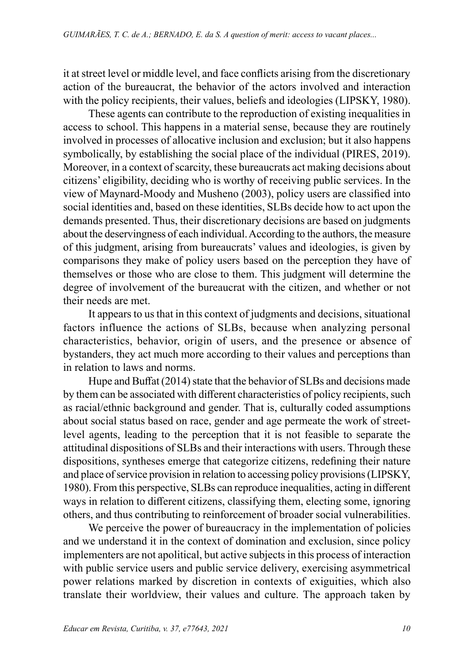it at street level or middle level, and face conflicts arising from the discretionary action of the bureaucrat, the behavior of the actors involved and interaction with the policy recipients, their values, beliefs and ideologies (LIPSKY, 1980).

These agents can contribute to the reproduction of existing inequalities in access to school. This happens in a material sense, because they are routinely involved in processes of allocative inclusion and exclusion; but it also happens symbolically, by establishing the social place of the individual (PIRES, 2019). Moreover, in a context of scarcity, these bureaucrats act making decisions about citizens' eligibility, deciding who is worthy of receiving public services. In the view of Maynard-Moody and Musheno (2003), policy users are classified into social identities and, based on these identities, SLBs decide how to act upon the demands presented. Thus, their discretionary decisions are based on judgments about the deservingness of each individual. According to the authors, the measure of this judgment, arising from bureaucrats' values and ideologies, is given by comparisons they make of policy users based on the perception they have of themselves or those who are close to them. This judgment will determine the degree of involvement of the bureaucrat with the citizen, and whether or not their needs are met.

It appears to us that in this context of judgments and decisions, situational factors influence the actions of SLBs, because when analyzing personal characteristics, behavior, origin of users, and the presence or absence of bystanders, they act much more according to their values and perceptions than in relation to laws and norms.

Hupe and Buffat (2014) state that the behavior of SLBs and decisions made by them can be associated with different characteristics of policy recipients, such as racial/ethnic background and gender. That is, culturally coded assumptions about social status based on race, gender and age permeate the work of streetlevel agents, leading to the perception that it is not feasible to separate the attitudinal dispositions of SLBs and their interactions with users. Through these dispositions, syntheses emerge that categorize citizens, redefining their nature and place of service provision in relation to accessing policy provisions (LIPSKY, 1980). From this perspective, SLBs can reproduce inequalities, acting in different ways in relation to different citizens, classifying them, electing some, ignoring others, and thus contributing to reinforcement of broader social vulnerabilities.

We perceive the power of bureaucracy in the implementation of policies and we understand it in the context of domination and exclusion, since policy implementers are not apolitical, but active subjects in this process of interaction with public service users and public service delivery, exercising asymmetrical power relations marked by discretion in contexts of exiguities, which also translate their worldview, their values and culture. The approach taken by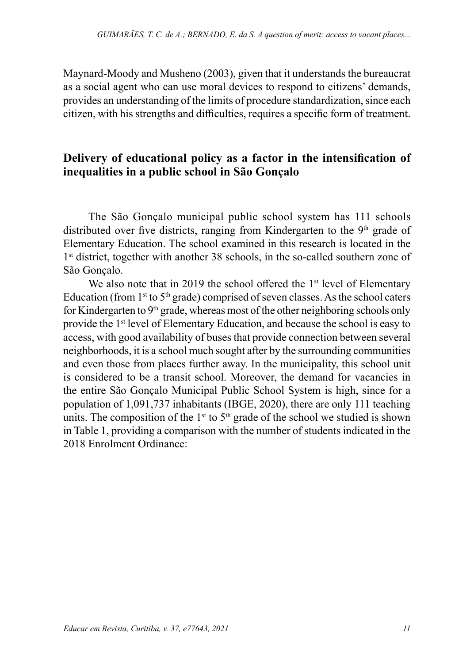Maynard-Moody and Musheno (2003), given that it understands the bureaucrat as a social agent who can use moral devices to respond to citizens' demands, provides an understanding of the limits of procedure standardization, since each citizen, with his strengths and difficulties, requires a specific form of treatment.

## **Delivery of educational policy as a factor in the intensification of inequalities in a public school in São Gonçalo**

The São Gonçalo municipal public school system has 111 schools distributed over five districts, ranging from Kindergarten to the  $9<sup>th</sup>$  grade of Elementary Education. The school examined in this research is located in the 1<sup>st</sup> district, together with another 38 schools, in the so-called southern zone of São Gonçalo.

We also note that in 2019 the school offered the 1<sup>st</sup> level of Elementary Education (from  $1^{st}$  to  $5^{th}$  grade) comprised of seven classes. As the school caters for Kindergarten to  $9<sup>th</sup>$  grade, whereas most of the other neighboring schools only provide the 1<sup>st</sup> level of Elementary Education, and because the school is easy to access, with good availability of buses that provide connection between several neighborhoods, it is a school much sought after by the surrounding communities and even those from places further away. In the municipality, this school unit is considered to be a transit school. Moreover, the demand for vacancies in the entire São Gonçalo Municipal Public School System is high, since for a population of 1,091,737 inhabitants (IBGE, 2020), there are only 111 teaching units. The composition of the  $1<sup>st</sup>$  to  $5<sup>th</sup>$  grade of the school we studied is shown in Table 1, providing a comparison with the number of students indicated in the 2018 Enrolment Ordinance: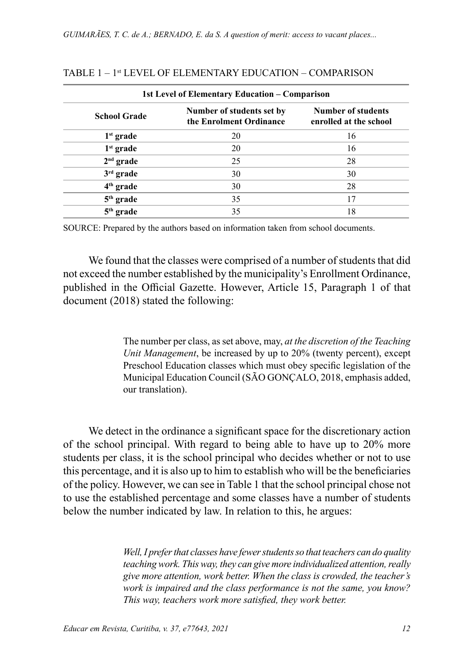| 1st Level of Elementary Education – Comparison |                                                      |                                              |
|------------------------------------------------|------------------------------------------------------|----------------------------------------------|
| <b>School Grade</b>                            | Number of students set by<br>the Enrolment Ordinance | Number of students<br>enrolled at the school |
| $1st$ grade                                    | 20                                                   | 16                                           |
| $1st$ grade                                    | 20                                                   | 16                                           |
| $2nd$ grade                                    | 25                                                   | 28                                           |
| $3rd$ grade                                    | 30                                                   | 30                                           |
| $4th$ grade                                    | 30                                                   | 28                                           |
| $5th$ grade                                    | 35                                                   | 17                                           |
| $5th$ grade                                    | 35                                                   | 18                                           |

#### TABLE 1 – 1st LEVEL OF ELEMENTARY EDUCATION – COMPARISON

SOURCE: Prepared by the authors based on information taken from school documents.

We found that the classes were comprised of a number of students that did not exceed the number established by the municipality's Enrollment Ordinance, published in the Official Gazette. However, Article 15, Paragraph 1 of that document (2018) stated the following:

> The number per class, as set above, may, *at the discretion of the Teaching Unit Management*, be increased by up to 20% (twenty percent), except Preschool Education classes which must obey specific legislation of the Municipal Education Council (SÃO GONÇALO, 2018, emphasis added, our translation).

We detect in the ordinance a significant space for the discretionary action of the school principal. With regard to being able to have up to 20% more students per class, it is the school principal who decides whether or not to use this percentage, and it is also up to him to establish who will be the beneficiaries of the policy. However, we can see in Table 1 that the school principal chose not to use the established percentage and some classes have a number of students below the number indicated by law. In relation to this, he argues:

> *Well, I prefer that classes have fewer students so that teachers can do quality teaching work. This way, they can give more individualized attention, really give more attention, work better. When the class is crowded, the teacher's work is impaired and the class performance is not the same, you know? This way, teachers work more satisfied, they work better.*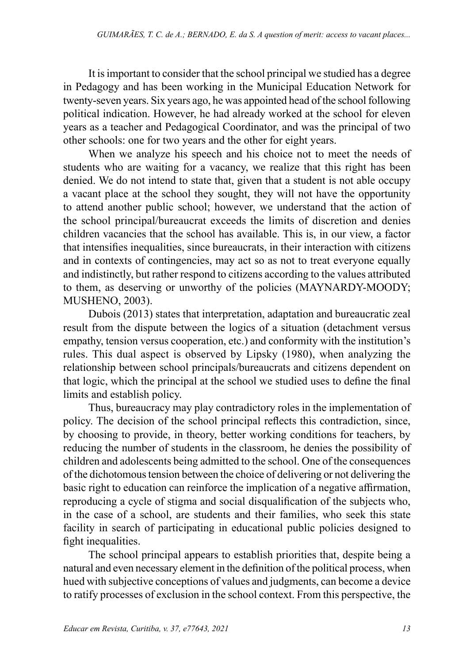It is important to consider that the school principal we studied has a degree in Pedagogy and has been working in the Municipal Education Network for twenty-seven years. Six years ago, he was appointed head of the school following political indication. However, he had already worked at the school for eleven years as a teacher and Pedagogical Coordinator, and was the principal of two other schools: one for two years and the other for eight years.

When we analyze his speech and his choice not to meet the needs of students who are waiting for a vacancy, we realize that this right has been denied. We do not intend to state that, given that a student is not able occupy a vacant place at the school they sought, they will not have the opportunity to attend another public school; however, we understand that the action of the school principal/bureaucrat exceeds the limits of discretion and denies children vacancies that the school has available. This is, in our view, a factor that intensifies inequalities, since bureaucrats, in their interaction with citizens and in contexts of contingencies, may act so as not to treat everyone equally and indistinctly, but rather respond to citizens according to the values attributed to them, as deserving or unworthy of the policies (MAYNARDY-MOODY; MUSHENO, 2003).

Dubois (2013) states that interpretation, adaptation and bureaucratic zeal result from the dispute between the logics of a situation (detachment versus empathy, tension versus cooperation, etc.) and conformity with the institution's rules. This dual aspect is observed by Lipsky (1980), when analyzing the relationship between school principals/bureaucrats and citizens dependent on that logic, which the principal at the school we studied uses to define the final limits and establish policy.

Thus, bureaucracy may play contradictory roles in the implementation of policy. The decision of the school principal reflects this contradiction, since, by choosing to provide, in theory, better working conditions for teachers, by reducing the number of students in the classroom, he denies the possibility of children and adolescents being admitted to the school. One of the consequences of the dichotomous tension between the choice of delivering or not delivering the basic right to education can reinforce the implication of a negative affirmation, reproducing a cycle of stigma and social disqualification of the subjects who, in the case of a school, are students and their families, who seek this state facility in search of participating in educational public policies designed to fight inequalities.

The school principal appears to establish priorities that, despite being a natural and even necessary element in the definition of the political process, when hued with subjective conceptions of values and judgments, can become a device to ratify processes of exclusion in the school context. From this perspective, the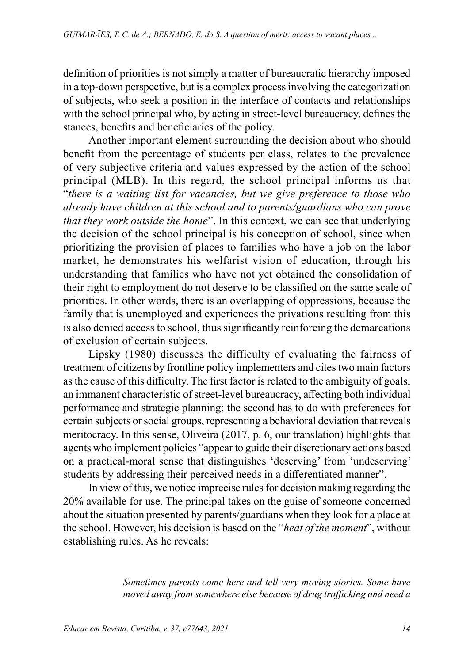definition of priorities is not simply a matter of bureaucratic hierarchy imposed in a top-down perspective, but is a complex process involving the categorization of subjects, who seek a position in the interface of contacts and relationships with the school principal who, by acting in street-level bureaucracy, defines the stances, benefits and beneficiaries of the policy.

Another important element surrounding the decision about who should benefit from the percentage of students per class, relates to the prevalence of very subjective criteria and values expressed by the action of the school principal (MLB). In this regard, the school principal informs us that "*there is a waiting list for vacancies, but we give preference to those who already have children at this school and to parents/guardians who can prove that they work outside the home*". In this context, we can see that underlying the decision of the school principal is his conception of school, since when prioritizing the provision of places to families who have a job on the labor market, he demonstrates his welfarist vision of education, through his understanding that families who have not yet obtained the consolidation of their right to employment do not deserve to be classified on the same scale of priorities. In other words, there is an overlapping of oppressions, because the family that is unemployed and experiences the privations resulting from this is also denied access to school, thus significantly reinforcing the demarcations of exclusion of certain subjects.

Lipsky (1980) discusses the difficulty of evaluating the fairness of treatment of citizens by frontline policy implementers and cites two main factors as the cause of this difficulty. The first factor is related to the ambiguity of goals, an immanent characteristic of street-level bureaucracy, affecting both individual performance and strategic planning; the second has to do with preferences for certain subjects or social groups, representing a behavioral deviation that reveals meritocracy. In this sense, Oliveira (2017, p. 6, our translation) highlights that agents who implement policies "appear to guide their discretionary actions based on a practical-moral sense that distinguishes 'deserving' from 'undeserving' students by addressing their perceived needs in a differentiated manner".

In view of this, we notice imprecise rules for decision making regarding the 20% available for use. The principal takes on the guise of someone concerned about the situation presented by parents/guardians when they look for a place at the school. However, his decision is based on the "*heat of the moment*", without establishing rules. As he reveals:

> *Sometimes parents come here and tell very moving stories. Some have moved away from somewhere else because of drug trafficking and need a*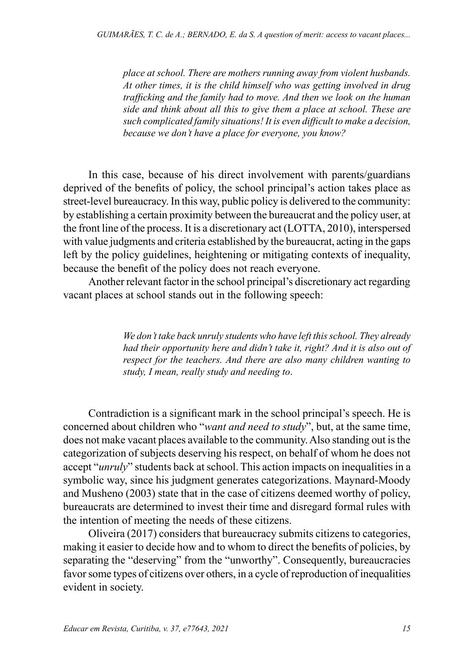*place at school. There are mothers running away from violent husbands. At other times, it is the child himself who was getting involved in drug trafficking and the family had to move. And then we look on the human side and think about all this to give them a place at school. These are such complicated family situations! It is even difficult to make a decision, because we don't have a place for everyone, you know?*

In this case, because of his direct involvement with parents/guardians deprived of the benefits of policy, the school principal's action takes place as street-level bureaucracy. In this way, public policy is delivered to the community: by establishing a certain proximity between the bureaucrat and the policy user, at the front line of the process. It is a discretionary act (LOTTA, 2010), interspersed with value judgments and criteria established by the bureaucrat, acting in the gaps left by the policy guidelines, heightening or mitigating contexts of inequality, because the benefit of the policy does not reach everyone.

Another relevant factor in the school principal's discretionary act regarding vacant places at school stands out in the following speech:

> *We don't take back unruly students who have left this school. They already had their opportunity here and didn't take it, right? And it is also out of respect for the teachers. And there are also many children wanting to study, I mean, really study and needing to*.

Contradiction is a significant mark in the school principal's speech. He is concerned about children who "*want and need to study*", but, at the same time, does not make vacant places available to the community. Also standing out is the categorization of subjects deserving his respect, on behalf of whom he does not accept "*unruly*" students back at school. This action impacts on inequalities in a symbolic way, since his judgment generates categorizations. Maynard-Moody and Musheno (2003) state that in the case of citizens deemed worthy of policy, bureaucrats are determined to invest their time and disregard formal rules with the intention of meeting the needs of these citizens.

Oliveira (2017) considers that bureaucracy submits citizens to categories, making it easier to decide how and to whom to direct the benefits of policies, by separating the "deserving" from the "unworthy". Consequently, bureaucracies favor some types of citizens over others, in a cycle of reproduction of inequalities evident in society.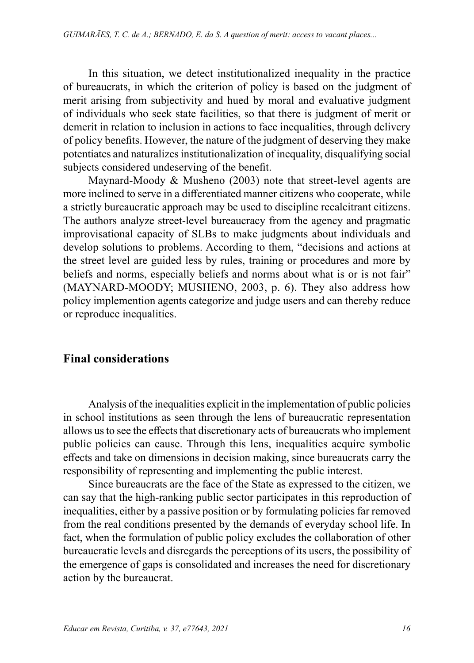In this situation, we detect institutionalized inequality in the practice of bureaucrats, in which the criterion of policy is based on the judgment of merit arising from subjectivity and hued by moral and evaluative judgment of individuals who seek state facilities, so that there is judgment of merit or demerit in relation to inclusion in actions to face inequalities, through delivery of policy benefits. However, the nature of the judgment of deserving they make potentiates and naturalizes institutionalization of inequality, disqualifying social subjects considered undeserving of the benefit.

Maynard-Moody & Musheno (2003) note that street-level agents are more inclined to serve in a differentiated manner citizens who cooperate, while a strictly bureaucratic approach may be used to discipline recalcitrant citizens. The authors analyze street-level bureaucracy from the agency and pragmatic improvisational capacity of SLBs to make judgments about individuals and develop solutions to problems. According to them, "decisions and actions at the street level are guided less by rules, training or procedures and more by beliefs and norms, especially beliefs and norms about what is or is not fair" (MAYNARD-MOODY; MUSHENO, 2003, p. 6). They also address how policy implemention agents categorize and judge users and can thereby reduce or reproduce inequalities.

# **Final considerations**

Analysis of the inequalities explicit in the implementation of public policies in school institutions as seen through the lens of bureaucratic representation allows us to see the effects that discretionary acts of bureaucrats who implement public policies can cause. Through this lens, inequalities acquire symbolic effects and take on dimensions in decision making, since bureaucrats carry the responsibility of representing and implementing the public interest.

Since bureaucrats are the face of the State as expressed to the citizen, we can say that the high-ranking public sector participates in this reproduction of inequalities, either by a passive position or by formulating policies far removed from the real conditions presented by the demands of everyday school life. In fact, when the formulation of public policy excludes the collaboration of other bureaucratic levels and disregards the perceptions of its users, the possibility of the emergence of gaps is consolidated and increases the need for discretionary action by the bureaucrat.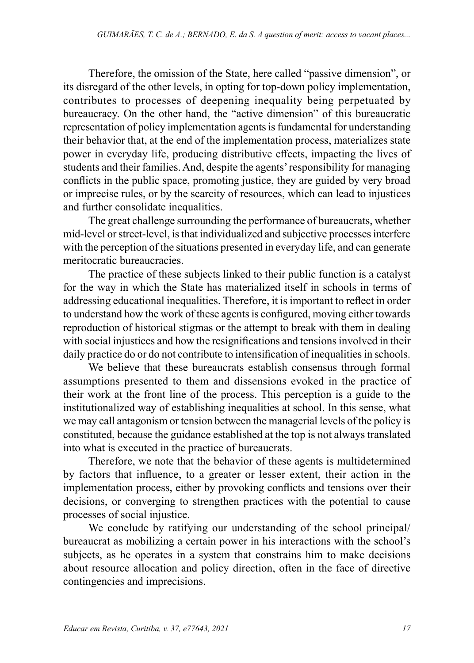Therefore, the omission of the State, here called "passive dimension", or its disregard of the other levels, in opting for top-down policy implementation, contributes to processes of deepening inequality being perpetuated by bureaucracy. On the other hand, the "active dimension" of this bureaucratic representation of policy implementation agents is fundamental for understanding their behavior that, at the end of the implementation process, materializes state power in everyday life, producing distributive effects, impacting the lives of students and their families. And, despite the agents' responsibility for managing conflicts in the public space, promoting justice, they are guided by very broad or imprecise rules, or by the scarcity of resources, which can lead to injustices and further consolidate inequalities.

The great challenge surrounding the performance of bureaucrats, whether mid-level or street-level, is that individualized and subjective processes interfere with the perception of the situations presented in everyday life, and can generate meritocratic bureaucracies.

The practice of these subjects linked to their public function is a catalyst for the way in which the State has materialized itself in schools in terms of addressing educational inequalities. Therefore, it is important to reflect in order to understand how the work of these agents is configured, moving either towards reproduction of historical stigmas or the attempt to break with them in dealing with social injustices and how the resignifications and tensions involved in their daily practice do or do not contribute to intensification of inequalities in schools.

We believe that these bureaucrats establish consensus through formal assumptions presented to them and dissensions evoked in the practice of their work at the front line of the process. This perception is a guide to the institutionalized way of establishing inequalities at school. In this sense, what we may call antagonism or tension between the managerial levels of the policy is constituted, because the guidance established at the top is not always translated into what is executed in the practice of bureaucrats.

Therefore, we note that the behavior of these agents is multidetermined by factors that influence, to a greater or lesser extent, their action in the implementation process, either by provoking conflicts and tensions over their decisions, or converging to strengthen practices with the potential to cause processes of social injustice.

We conclude by ratifying our understanding of the school principal/ bureaucrat as mobilizing a certain power in his interactions with the school's subjects, as he operates in a system that constrains him to make decisions about resource allocation and policy direction, often in the face of directive contingencies and imprecisions.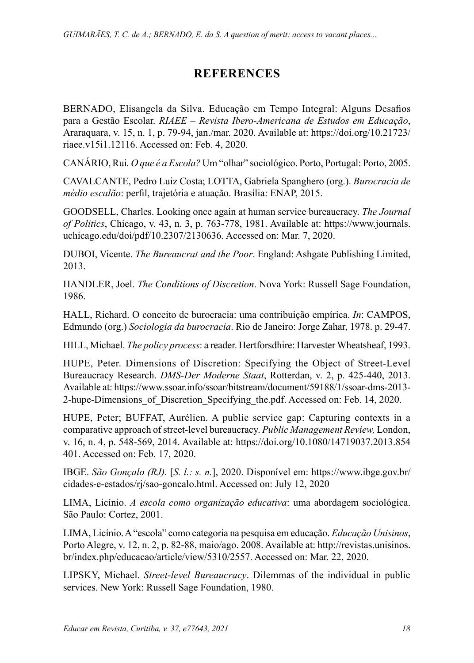# **REFERENCES**

BERNADO, Elisangela da Silva. Educação em Tempo Integral: Alguns Desafios para a Gestão Escolar. *RIAEE – Revista Ibero-Americana de Estudos em Educação*, Araraquara, v. 15, n. 1, p. 79-94, jan./mar. 2020. Available at: https://doi.org/10.21723/ riaee.v15i1.12116. Accessed on: Feb. 4, 2020.

CANÁRIO, Rui*. O que é a Escola?* Um "olhar" sociológico. Porto, Portugal: Porto, 2005.

CAVALCANTE, Pedro Luiz Costa; LOTTA, Gabriela Spanghero (org.). *Burocracia de médio escalão*: perfil, trajetória e atuação. Brasília: ENAP, 2015.

GOODSELL, Charles. Looking once again at human service bureaucracy. *The Journal of Politics*, Chicago, v. 43, n. 3, p. 763-778, 1981. Available at: https://www.journals. uchicago.edu/doi/pdf/10.2307/2130636. Accessed on: Mar. 7, 2020.

DUBOI, Vicente. *The Bureaucrat and the Poor*. England: Ashgate Publishing Limited, 2013.

HANDLER, Joel. *The Conditions of Discretion*. Nova York: Russell Sage Foundation, 1986.

HALL, Richard. O conceito de burocracia: uma contribuição empírica. *In*: CAMPOS, Edmundo (org.) *Sociologia da burocracia*. Rio de Janeiro: Jorge Zahar, 1978. p. 29-47.

HILL, Michael. *The policy process*: a reader. Hertforsdhire: Harvester Wheatsheaf, 1993.

HUPE, Peter. Dimensions of Discretion: Specifying the Object of Street-Level Bureaucracy Research. *DMS-Der Moderne Staat*, Rotterdan, v. 2, p. 425-440, 2013. Available at: https://www.ssoar.info/ssoar/bitstream/document/59188/1/ssoar-dms-2013- 2-hupe-Dimensions\_of\_Discretion\_Specifying\_the.pdf. Accessed on: Feb. 14, 2020.

HUPE, Peter; BUFFAT, Aurélien. A public service gap: Capturing contexts in a comparative approach of street-level bureaucracy. *Public Management Review,* London, v. 16, n. 4, p. 548-569, 2014. Available at: https://doi.org/10.1080/14719037.2013.854 401. Accessed on: Feb. 17, 2020.

IBGE. *São Gonçalo (RJ).* [*S. l.: s. n.*], 2020. Disponível em: https://www.ibge.gov.br/ cidades-e-estados/rj/sao-goncalo.html. Accessed on: July 12, 2020

LIMA, Licínio. *A escola como organização educativa*: uma abordagem sociológica. São Paulo: Cortez, 2001.

LIMA, Licínio. A "escola" como categoria na pesquisa em educação. *Educação Unisinos*, Porto Alegre, v. 12, n. 2, p. 82-88, maio/ago. 2008. Available at: http://revistas.unisinos. br/index.php/educacao/article/view/5310/2557. Accessed on: Mar. 22, 2020.

LIPSKY, Michael. *Street-level Bureaucracy*. Dilemmas of the individual in public services. New York: Russell Sage Foundation, 1980.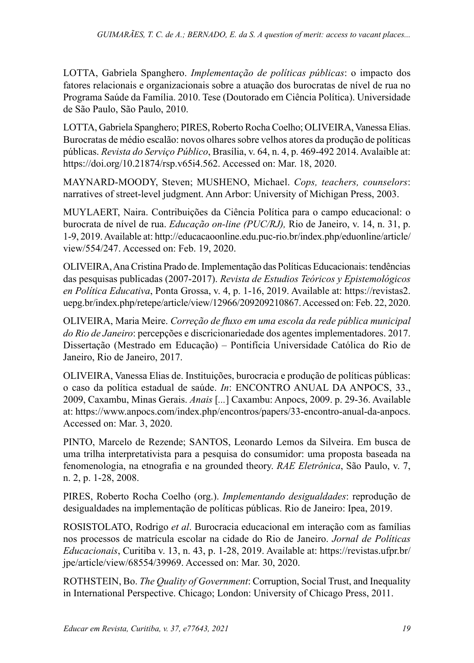LOTTA, Gabriela Spanghero. *Implementação de políticas públicas*: o impacto dos fatores relacionais e organizacionais sobre a atuação dos burocratas de nível de rua no Programa Saúde da Família. 2010. Tese (Doutorado em Ciência Política). Universidade de São Paulo, São Paulo, 2010.

LOTTA, Gabriela Spanghero; PIRES, Roberto Rocha Coelho; OLIVEIRA, Vanessa Elias. Burocratas de médio escalão: novos olhares sobre velhos atores da produção de políticas públicas. *Revista do Serviço Público*, Brasília, v. 64, n. 4, p. 469-492 2014. Avalaible at: https://doi.org/10.21874/rsp.v65i4.562. Accessed on: Mar. 18, 2020.

MAYNARD-MOODY, Steven; MUSHENO, Michael. *Cops, teachers, counselors*: narratives of street-level judgment. Ann Arbor: University of Michigan Press, 2003.

MUYLAERT, Naira. Contribuições da Ciência Política para o campo educacional: o burocrata de nível de rua. *Educação on-line (PUC/RJ),* Rio de Janeiro, v. 14, n. 31, p. 1-9, 2019. Available at: http://educacaoonline.edu.puc-rio.br/index.php/eduonline/article/ view/554/247. Accessed on: Feb. 19, 2020.

OLIVEIRA, Ana Cristina Prado de. Implementação das Políticas Educacionais: tendências das pesquisas publicadas (2007-2017). *Revista de Estudios Teóricos y Epistemológicos en Política Educativa*, Ponta Grossa, v. 4, p. 1-16, 2019. Available at: https://revistas2. uepg.br/index.php/retepe/article/view/12966/209209210867. Accessed on: Feb. 22, 2020.

OLIVEIRA, Maria Meire. *Correção de fluxo em uma escola da rede pública municipal do Rio de Janeiro*: percepções e discricionariedade dos agentes implementadores. 2017. Dissertação (Mestrado em Educação) – Pontifícia Universidade Católica do Rio de Janeiro, Rio de Janeiro, 2017.

OLIVEIRA, Vanessa Elias de. Instituições, burocracia e produção de políticas públicas: o caso da política estadual de saúde. *In*: ENCONTRO ANUAL DA ANPOCS, 33., 2009, Caxambu, Minas Gerais. *Anais* [*...*] Caxambu: Anpocs, 2009. p. 29-36. Available at: https://www.anpocs.com/index.php/encontros/papers/33-encontro-anual-da-anpocs. Accessed on: Mar. 3, 2020.

PINTO, Marcelo de Rezende; SANTOS, Leonardo Lemos da Silveira. Em busca de uma trilha interpretativista para a pesquisa do consumidor: uma proposta baseada na fenomenologia, na etnografia e na grounded theory. *RAE Eletrônica*, São Paulo, v. 7, n. 2, p. 1-28, 2008.

PIRES, Roberto Rocha Coelho (org.). *Implementando desigualdades*: reprodução de desigualdades na implementação de políticas públicas. Rio de Janeiro: Ipea, 2019.

ROSISTOLATO, Rodrigo *et al*. Burocracia educacional em interação com as famílias nos processos de matrícula escolar na cidade do Rio de Janeiro. *Jornal de Políticas Educacionais*, Curitiba v. 13, n. 43, p. 1-28, 2019. Available at: https://revistas.ufpr.br/ jpe/article/view/68554/39969. Accessed on: Mar. 30, 2020.

ROTHSTEIN, Bo. *The Quality of Government*: Corruption, Social Trust, and Inequality in International Perspective. Chicago; London: University of Chicago Press, 2011.